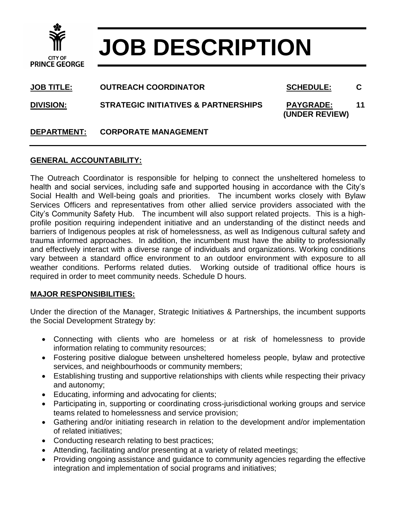

# **JOB DESCRIPTION**

**JOB TITLE: OUTREACH COORDINATOR SCHEDULE: C**

**DIVISION: STRATEGIC INITIATIVES & PARTNERSHIPS PAYGRADE: 11** 

 **(UNDER REVIEW)**

## **DEPARTMENT: CORPORATE MANAGEMENT**

### **GENERAL ACCOUNTABILITY:**

The Outreach Coordinator is responsible for helping to connect the unsheltered homeless to health and social services, including safe and supported housing in accordance with the City's Social Health and Well-being goals and priorities. The incumbent works closely with Bylaw Services Officers and representatives from other allied service providers associated with the City's Community Safety Hub. The incumbent will also support related projects. This is a highprofile position requiring independent initiative and an understanding of the distinct needs and barriers of Indigenous peoples at risk of homelessness, as well as Indigenous cultural safety and trauma informed approaches. In addition, the incumbent must have the ability to professionally and effectively interact with a diverse range of individuals and organizations. Working conditions vary between a standard office environment to an outdoor environment with exposure to all weather conditions. Performs related duties. Working outside of traditional office hours is required in order to meet community needs. Schedule D hours.

#### **MAJOR RESPONSIBILITIES:**

Under the direction of the Manager, Strategic Initiatives & Partnerships, the incumbent supports the Social Development Strategy by:

- Connecting with clients who are homeless or at risk of homelessness to provide information relating to community resources;
- Fostering positive dialogue between unsheltered homeless people, bylaw and protective services, and neighbourhoods or community members;
- Establishing trusting and supportive relationships with clients while respecting their privacy and autonomy;
- Educating, informing and advocating for clients;
- Participating in, supporting or coordinating cross-jurisdictional working groups and service teams related to homelessness and service provision;
- Gathering and/or initiating research in relation to the development and/or implementation of related initiatives;
- Conducting research relating to best practices;
- Attending, facilitating and/or presenting at a variety of related meetings;
- Providing ongoing assistance and guidance to community agencies regarding the effective integration and implementation of social programs and initiatives;